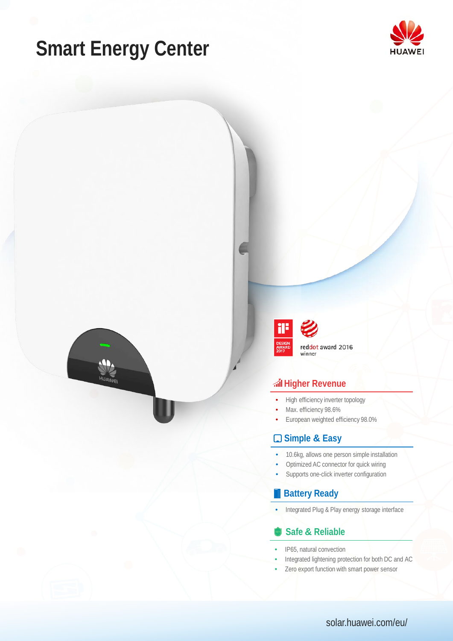# **Smart Energy Center**





### **Higher Revenue**

- High efficiency inverter topology
- Max. efficiency 98.6%
- European weighted efficiency 98.0%

#### **Simple & Easy**

- 10.6kg, allows one person simple installation
- Optimized AC connector for quick wiring
- Supports one-click inverter configuration

#### **Battery Ready**

• Integrated Plug & Play energy storage interface

#### **Safe & Reliable**

- IP65, natural convection
- Integrated lightening protection for both DC and AC
- Zero export function with smart power sensor

solar.huawei.com/eu/